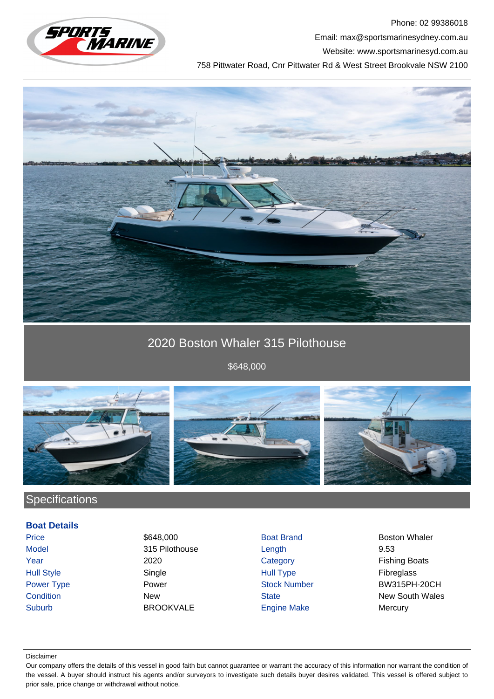

Phone: 02 99386018 Email: max@sportsmarinesydney.com.au Website: www.sportsmarinesyd.com.au

758 Pittwater Road, Cnr Pittwater Rd & West Street Brookvale NSW 2100



# 2020 Boston Whaler 315 Pilothouse

\$648,000



## **Specifications**

### **Boat Details**

Suburb BROOKVALE Engine Make Mercury

Model 315 Pilothouse Length 9.53 Hull Style Single Hull Type Fibreglass

Price 648,000 **\$648,000** Boat Brand Boston Whaler Year 2020 2020 Category Fishing Boats Power Type **Power Stock Number BW315PH-20CH Condition** New New State State New South Wales

#### Disclaimer

Our company offers the details of this vessel in good faith but cannot guarantee or warrant the accuracy of this information nor warrant the condition of the vessel. A buyer should instruct his agents and/or surveyors to investigate such details buyer desires validated. This vessel is offered subject to prior sale, price change or withdrawal without notice.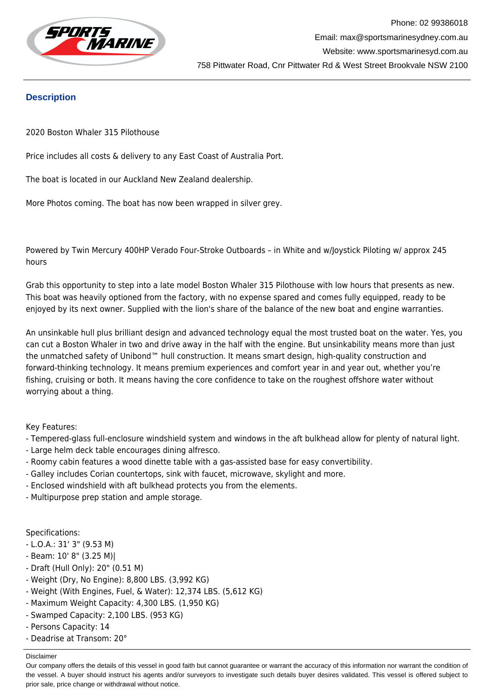

### **Description**

2020 Boston Whaler 315 Pilothouse

Price includes all costs & delivery to any East Coast of Australia Port.

The boat is located in our Auckland New Zealand dealership.

More Photos coming. The boat has now been wrapped in silver grey.

Powered by Twin Mercury 400HP Verado Four-Stroke Outboards – in White and w/Joystick Piloting w/ approx 245 hours

Grab this opportunity to step into a late model Boston Whaler 315 Pilothouse with low hours that presents as new. This boat was heavily optioned from the factory, with no expense spared and comes fully equipped, ready to be enjoyed by its next owner. Supplied with the lion's share of the balance of the new boat and engine warranties.

An unsinkable hull plus brilliant design and advanced technology equal the most trusted boat on the water. Yes, you can cut a Boston Whaler in two and drive away in the half with the engine. But unsinkability means more than just the unmatched safety of Unibond™ hull construction. It means smart design, high-quality construction and forward-thinking technology. It means premium experiences and comfort year in and year out, whether you're fishing, cruising or both. It means having the core confidence to take on the roughest offshore water without worrying about a thing.

Key Features:

- Tempered-glass full-enclosure windshield system and windows in the aft bulkhead allow for plenty of natural light.
- Large helm deck table encourages dining alfresco.
- Roomy cabin features a wood dinette table with a gas-assisted base for easy convertibility.
- Galley includes Corian countertops, sink with faucet, microwave, skylight and more.
- Enclosed windshield with aft bulkhead protects you from the elements.
- Multipurpose prep station and ample storage.

Specifications:

- L.O.A.: 31' 3" (9.53 M)
- Beam: 10' 8" (3.25 M)|
- Draft (Hull Only): 20" (0.51 M)
- Weight (Dry, No Engine): 8,800 LBS. (3,992 KG)
- Weight (With Engines, Fuel, & Water): 12,374 LBS. (5,612 KG)
- Maximum Weight Capacity: 4,300 LBS. (1,950 KG)
- Swamped Capacity: 2,100 LBS. (953 KG)
- Persons Capacity: 14
- Deadrise at Transom: 20°

Disclaimer

Our company offers the details of this vessel in good faith but cannot guarantee or warrant the accuracy of this information nor warrant the condition of the vessel. A buyer should instruct his agents and/or surveyors to investigate such details buyer desires validated. This vessel is offered subject to prior sale, price change or withdrawal without notice.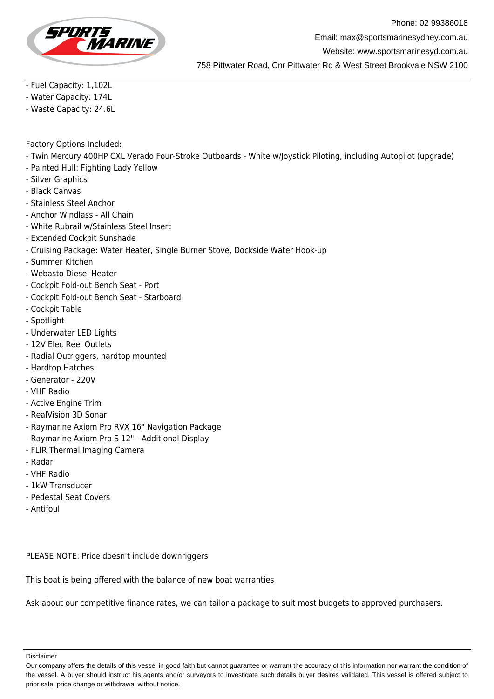

Phone: 02 99386018 Email: max@sportsmarinesydney.com.au Website: www.sportsmarinesyd.com.au 758 Pittwater Road, Cnr Pittwater Rd & West Street Brookvale NSW 2100

- Fuel Capacity: 1,102L

- Water Capacity: 174L

- Waste Capacity: 24.6L

Factory Options Included:

- Twin Mercury 400HP CXL Verado Four-Stroke Outboards White w/Joystick Piloting, including Autopilot (upgrade)
- Painted Hull: Fighting Lady Yellow
- Silver Graphics
- Black Canvas
- Stainless Steel Anchor
- Anchor Windlass All Chain
- White Rubrail w/Stainless Steel Insert
- Extended Cockpit Sunshade
- Cruising Package: Water Heater, Single Burner Stove, Dockside Water Hook-up
- Summer Kitchen
- Webasto Diesel Heater
- Cockpit Fold-out Bench Seat Port
- Cockpit Fold-out Bench Seat Starboard
- Cockpit Table
- Spotlight
- Underwater LED Lights
- 12V Elec Reel Outlets
- Radial Outriggers, hardtop mounted
- Hardtop Hatches
- Generator 220V
- VHF Radio
- Active Engine Trim
- RealVision 3D Sonar
- Raymarine Axiom Pro RVX 16" Navigation Package
- Raymarine Axiom Pro S 12" Additional Display
- FLIR Thermal Imaging Camera
- Radar
- VHF Radio
- 1kW Transducer
- Pedestal Seat Covers
- Antifoul

PLEASE NOTE: Price doesn't include downriggers

This boat is being offered with the balance of new boat warranties

Ask about our competitive finance rates, we can tailor a package to suit most budgets to approved purchasers.

Disclaimer

Our company offers the details of this vessel in good faith but cannot guarantee or warrant the accuracy of this information nor warrant the condition of the vessel. A buyer should instruct his agents and/or surveyors to investigate such details buyer desires validated. This vessel is offered subject to prior sale, price change or withdrawal without notice.